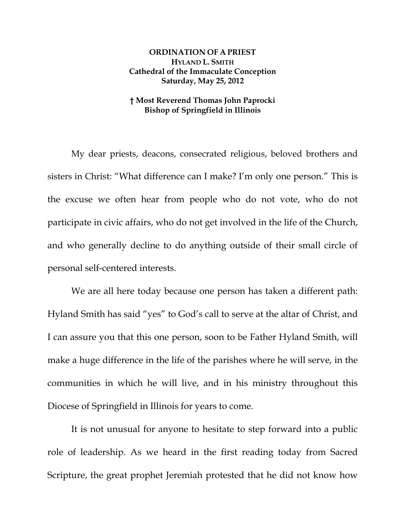## **ORDINATION OF A PRIEST HYLAND L. SMITH Cathedral of the Immaculate Conception Saturday, May 25, 2012**

## **† Most Reverend Thomas John Paprocki Bishop of Springfield in Illinois**

My dear priests, deacons, consecrated religious, beloved brothers and sisters in Christ: "What difference can I make? I'm only one person." This is the excuse we often hear from people who do not vote, who do not participate in civic affairs, who do not get involved in the life of the Church, and who generally decline to do anything outside of their small circle of personal self-centered interests.

We are all here today because one person has taken a different path: Hyland Smith has said "yes" to God's call to serve at the altar of Christ, and I can assure you that this one person, soon to be Father Hyland Smith, will make a huge difference in the life of the parishes where he will serve, in the communities in which he will live, and in his ministry throughout this Diocese of Springfield in Illinois for years to come.

It is not unusual for anyone to hesitate to step forward into a public role of leadership. As we heard in the first reading today from Sacred Scripture, the great prophet Jeremiah protested that he did not know how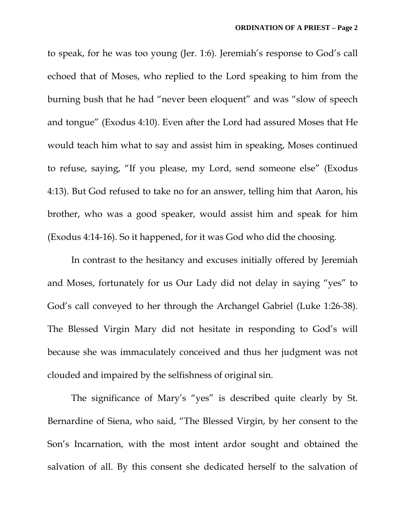to speak, for he was too young (Jer. 1:6). Jeremiah's response to God's call echoed that of Moses, who replied to the Lord speaking to him from the burning bush that he had "never been eloquent" and was "slow of speech and tongue" (Exodus 4:10). Even after the Lord had assured Moses that He would teach him what to say and assist him in speaking, Moses continued to refuse, saying, "If you please, my Lord, send someone else" (Exodus 4:13). But God refused to take no for an answer, telling him that Aaron, his brother, who was a good speaker, would assist him and speak for him (Exodus 4:14-16). So it happened, for it was God who did the choosing.

In contrast to the hesitancy and excuses initially offered by Jeremiah and Moses, fortunately for us Our Lady did not delay in saying "yes" to God's call conveyed to her through the Archangel Gabriel (Luke 1:26-38). The Blessed Virgin Mary did not hesitate in responding to God's will because she was immaculately conceived and thus her judgment was not clouded and impaired by the selfishness of original sin.

The significance of Mary's "yes" is described quite clearly by St. Bernardine of Siena, who said, "The Blessed Virgin, by her consent to the Son's Incarnation, with the most intent ardor sought and obtained the salvation of all. By this consent she dedicated herself to the salvation of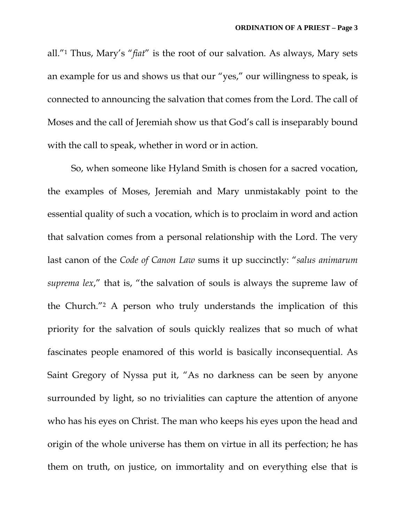all."1 Thus, Mary's "*fiat*" is the root of our salvation. As always, Mary sets an example for us and shows us that our "yes," our willingness to speak, is connected to announcing the salvation that comes from the Lord. The call of Moses and the call of Jeremiah show us that God's call is inseparably bound with the call to speak, whether in word or in action.

So, when someone like Hyland Smith is chosen for a sacred vocation, the examples of Moses, Jeremiah and Mary unmistakably point to the essential quality of such a vocation, which is to proclaim in word and action that salvation comes from a personal relationship with the Lord. The very last canon of the *Code of Canon Law* sums it up succinctly: "*salus animarum suprema lex*," that is, "the salvation of souls is always the supreme law of the Church."2 A person who truly understands the implication of this priority for the salvation of souls quickly realizes that so much of what fascinates people enamored of this world is basically inconsequential. As Saint Gregory of Nyssa put it, "As no darkness can be seen by anyone surrounded by light, so no trivialities can capture the attention of anyone who has his eyes on Christ. The man who keeps his eyes upon the head and origin of the whole universe has them on virtue in all its perfection; he has them on truth, on justice, on immortality and on everything else that is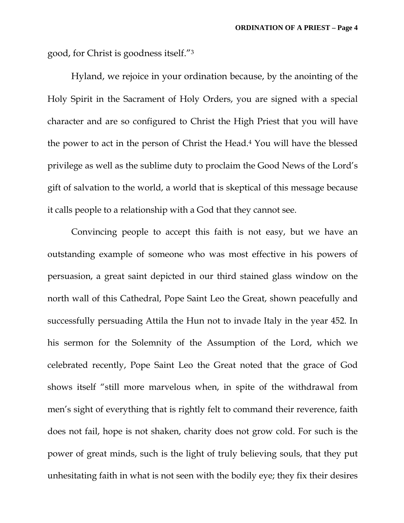good, for Christ is goodness itself."3

Hyland, we rejoice in your ordination because, by the anointing of the Holy Spirit in the Sacrament of Holy Orders, you are signed with a special character and are so configured to Christ the High Priest that you will have the power to act in the person of Christ the Head.4 You will have the blessed privilege as well as the sublime duty to proclaim the Good News of the Lord's gift of salvation to the world, a world that is skeptical of this message because it calls people to a relationship with a God that they cannot see.

Convincing people to accept this faith is not easy, but we have an outstanding example of someone who was most effective in his powers of persuasion, a great saint depicted in our third stained glass window on the north wall of this Cathedral, Pope Saint Leo the Great, shown peacefully and successfully persuading Attila the Hun not to invade Italy in the year 452. In his sermon for the Solemnity of the Assumption of the Lord, which we celebrated recently, Pope Saint Leo the Great noted that the grace of God shows itself "still more marvelous when, in spite of the withdrawal from men's sight of everything that is rightly felt to command their reverence, faith does not fail, hope is not shaken, charity does not grow cold. For such is the power of great minds, such is the light of truly believing souls, that they put unhesitating faith in what is not seen with the bodily eye; they fix their desires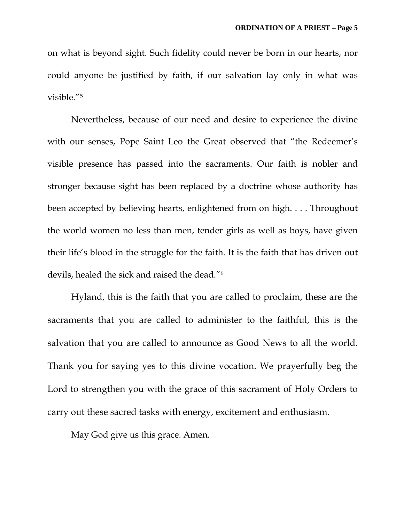on what is beyond sight. Such fidelity could never be born in our hearts, nor could anyone be justified by faith, if our salvation lay only in what was visible."5

Nevertheless, because of our need and desire to experience the divine with our senses, Pope Saint Leo the Great observed that "the Redeemer's visible presence has passed into the sacraments. Our faith is nobler and stronger because sight has been replaced by a doctrine whose authority has been accepted by believing hearts, enlightened from on high. . . . Throughout the world women no less than men, tender girls as well as boys, have given their life's blood in the struggle for the faith. It is the faith that has driven out devils, healed the sick and raised the dead."6

Hyland, this is the faith that you are called to proclaim, these are the sacraments that you are called to administer to the faithful, this is the salvation that you are called to announce as Good News to all the world. Thank you for saying yes to this divine vocation. We prayerfully beg the Lord to strengthen you with the grace of this sacrament of Holy Orders to carry out these sacred tasks with energy, excitement and enthusiasm.

May God give us this grace. Amen.